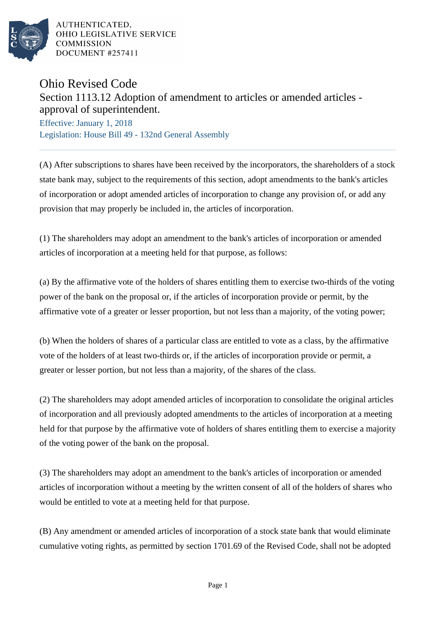

AUTHENTICATED. OHIO LEGISLATIVE SERVICE **COMMISSION** DOCUMENT #257411

## Ohio Revised Code Section 1113.12 Adoption of amendment to articles or amended articles approval of superintendent.

Effective: January 1, 2018 Legislation: House Bill 49 - 132nd General Assembly

(A) After subscriptions to shares have been received by the incorporators, the shareholders of a stock state bank may, subject to the requirements of this section, adopt amendments to the bank's articles of incorporation or adopt amended articles of incorporation to change any provision of, or add any provision that may properly be included in, the articles of incorporation.

(1) The shareholders may adopt an amendment to the bank's articles of incorporation or amended articles of incorporation at a meeting held for that purpose, as follows:

(a) By the affirmative vote of the holders of shares entitling them to exercise two-thirds of the voting power of the bank on the proposal or, if the articles of incorporation provide or permit, by the affirmative vote of a greater or lesser proportion, but not less than a majority, of the voting power;

(b) When the holders of shares of a particular class are entitled to vote as a class, by the affirmative vote of the holders of at least two-thirds or, if the articles of incorporation provide or permit, a greater or lesser portion, but not less than a majority, of the shares of the class.

(2) The shareholders may adopt amended articles of incorporation to consolidate the original articles of incorporation and all previously adopted amendments to the articles of incorporation at a meeting held for that purpose by the affirmative vote of holders of shares entitling them to exercise a majority of the voting power of the bank on the proposal.

(3) The shareholders may adopt an amendment to the bank's articles of incorporation or amended articles of incorporation without a meeting by the written consent of all of the holders of shares who would be entitled to vote at a meeting held for that purpose.

(B) Any amendment or amended articles of incorporation of a stock state bank that would eliminate cumulative voting rights, as permitted by section 1701.69 of the Revised Code, shall not be adopted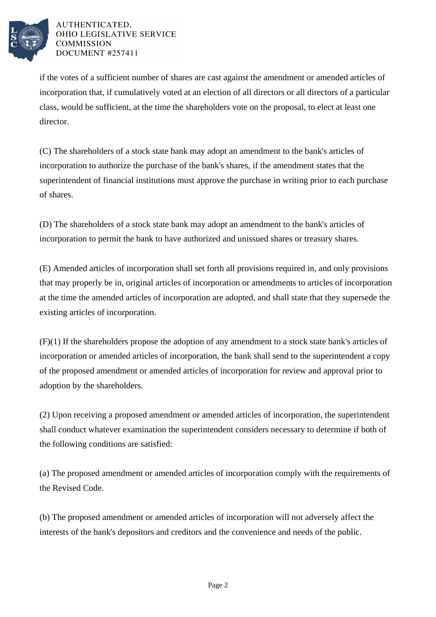

AUTHENTICATED, OHIO LEGISLATIVE SERVICE **COMMISSION** DOCUMENT #257411

if the votes of a sufficient number of shares are cast against the amendment or amended articles of incorporation that, if cumulatively voted at an election of all directors or all directors of a particular class, would be sufficient, at the time the shareholders vote on the proposal, to elect at least one director.

(C) The shareholders of a stock state bank may adopt an amendment to the bank's articles of incorporation to authorize the purchase of the bank's shares, if the amendment states that the superintendent of financial institutions must approve the purchase in writing prior to each purchase of shares.

(D) The shareholders of a stock state bank may adopt an amendment to the bank's articles of incorporation to permit the bank to have authorized and unissued shares or treasury shares.

(E) Amended articles of incorporation shall set forth all provisions required in, and only provisions that may properly be in, original articles of incorporation or amendments to articles of incorporation at the time the amended articles of incorporation are adopted, and shall state that they supersede the existing articles of incorporation.

(F)(1) If the shareholders propose the adoption of any amendment to a stock state bank's articles of incorporation or amended articles of incorporation, the bank shall send to the superintendent a copy of the proposed amendment or amended articles of incorporation for review and approval prior to adoption by the shareholders.

(2) Upon receiving a proposed amendment or amended articles of incorporation, the superintendent shall conduct whatever examination the superintendent considers necessary to determine if both of the following conditions are satisfied:

(a) The proposed amendment or amended articles of incorporation comply with the requirements of the Revised Code.

(b) The proposed amendment or amended articles of incorporation will not adversely affect the interests of the bank's depositors and creditors and the convenience and needs of the public.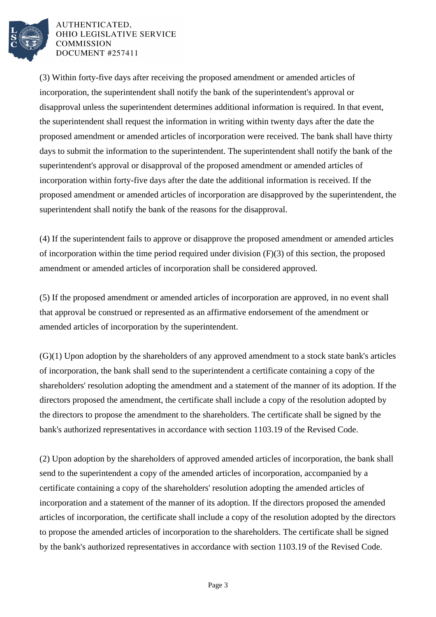

AUTHENTICATED. OHIO LEGISLATIVE SERVICE **COMMISSION** DOCUMENT #257411

(3) Within forty-five days after receiving the proposed amendment or amended articles of incorporation, the superintendent shall notify the bank of the superintendent's approval or disapproval unless the superintendent determines additional information is required. In that event, the superintendent shall request the information in writing within twenty days after the date the proposed amendment or amended articles of incorporation were received. The bank shall have thirty days to submit the information to the superintendent. The superintendent shall notify the bank of the superintendent's approval or disapproval of the proposed amendment or amended articles of incorporation within forty-five days after the date the additional information is received. If the proposed amendment or amended articles of incorporation are disapproved by the superintendent, the superintendent shall notify the bank of the reasons for the disapproval.

(4) If the superintendent fails to approve or disapprove the proposed amendment or amended articles of incorporation within the time period required under division (F)(3) of this section, the proposed amendment or amended articles of incorporation shall be considered approved.

(5) If the proposed amendment or amended articles of incorporation are approved, in no event shall that approval be construed or represented as an affirmative endorsement of the amendment or amended articles of incorporation by the superintendent.

(G)(1) Upon adoption by the shareholders of any approved amendment to a stock state bank's articles of incorporation, the bank shall send to the superintendent a certificate containing a copy of the shareholders' resolution adopting the amendment and a statement of the manner of its adoption. If the directors proposed the amendment, the certificate shall include a copy of the resolution adopted by the directors to propose the amendment to the shareholders. The certificate shall be signed by the bank's authorized representatives in accordance with section 1103.19 of the Revised Code.

(2) Upon adoption by the shareholders of approved amended articles of incorporation, the bank shall send to the superintendent a copy of the amended articles of incorporation, accompanied by a certificate containing a copy of the shareholders' resolution adopting the amended articles of incorporation and a statement of the manner of its adoption. If the directors proposed the amended articles of incorporation, the certificate shall include a copy of the resolution adopted by the directors to propose the amended articles of incorporation to the shareholders. The certificate shall be signed by the bank's authorized representatives in accordance with section 1103.19 of the Revised Code.